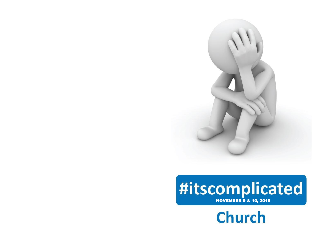

# #itscomplicated

**Church**